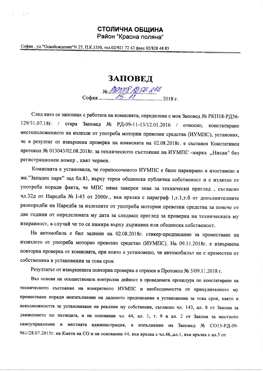## СТОЛИЧНА ОБЩИНА

Район "Красна поляна"

София, ул. "Освобождение" N 25, П.К.1330, тел.02/921 72 42 факс 02/828 48 83

 $= -\frac{(4 - 1)^2}{2}$ 

ЗАПОВЕД

№ *ДОМ В 1956-212*<br>София 2018 г.

След като се запознах с работата на комисията, определена с моя Заповед № РКП18-РД56-129/31.07.18г. / стара Заповед № РД-09-11-13/12.01.2016 / относно, констатиране местоположението на излезли от употреба моторни превозни средства (ИУМПС), установих, че в резултат от извършена проверка на комисията на 02.08.2018г. е съставен Констативен протокол № 013043/02.08.2018г. за техническото състояние на ИУМПС -марка "Нисан" без регистрационен номер, цвят червен.

Комисията е установила, че горепосоченото ИУМПС е било паркирано и изоставено в жк. "Западен парк" зад бл.81, върху терен общинска публична собственост и е излязло от употреба поради факта, че МПС няма заверен знак за технически преглед, съгласно чл.32д от Наредба № 1-45 от 2000г., във връзка с параграф 1,т.1,т.б от допълнителните разпоредби на Наредба за излезлите от употреба моторни превозни средства за повече от две години от определената му дата за следващ преглед за проверка на техническата му изправност, в случай че то се намира върху държавна или общинска собственост.

На автомобила е бил залепен на 02.08.2018г. стикер-предписание за преместване на излязлото от употреба моторно превозно средство (ИУМПС). На 09.11.2018г. е извършена повторна проверка от комисията, при която е установено, че автомобилът не е преместен от собственика в установения за това срок.

Резултатът от извършената повторна проверка е отразен в Протокол № 3/09.11.2018 г.

Въз основа на осъществената контролна дейност в проведената процедура по констатиране на техническото състояние на конкретното ИУМПС и необходимостта от принудителното му преместване поради неизпълнение на даденото предписание в установения за това срок, както и невъзможността за установяване на реалния му собственик, съгласно чл. 143, ал. 8 от Закона за движението по пътищата, и на основание чл. 44, ал. 1, т. 9 и ал. 2 от Закона за местното самоуправление и местната администрация, в изпълнение на Заповед № СО15-РД-09-961/28.07.2015г. на Кмета на СО и на основание 44, във връзка с чл.46.,ал.1, във връзка с ал.5 от